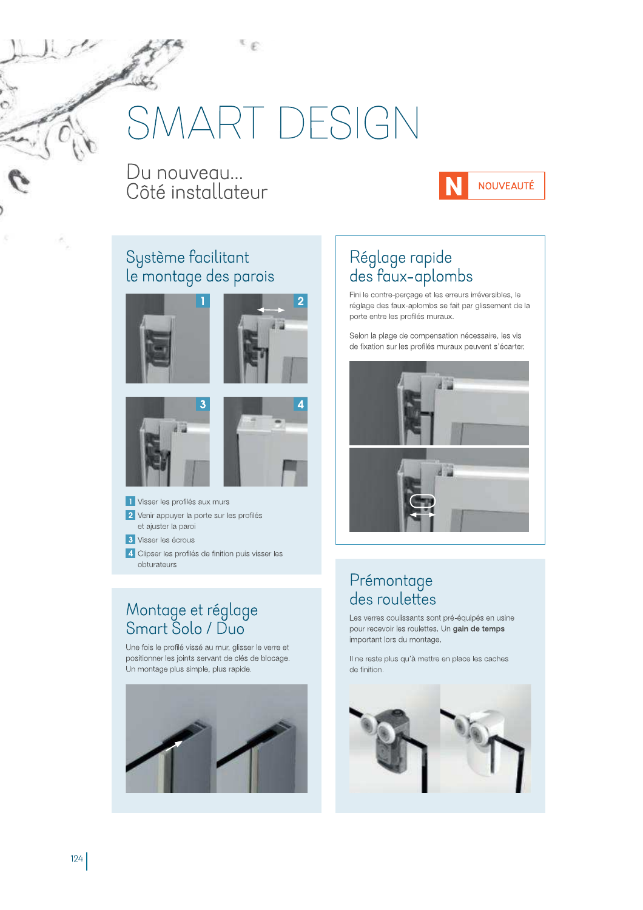# **MART DESIGN**

Æ

Du nouveau... Côté installateur



#### Système facilitant le montage des parois









1 Visser les profilés aux murs 2 Venir appuyer la porte sur les profilés et ajuster la paroi 3 Visser les écrous

4 Clipser les profilés de finition puis visser les obturateurs

# Montage et réglage<br>Smart Solo / Duo

Une fois le profilé vissé au mur, glisser le verre et positionner les joints servant de clés de blocage. Un montage plus simple, plus rapide.



# Réglage rapide<br>des faux-aplombs

Fini le contre-percage et les erreurs irréversibles, le réglage des faux-aplombs se fait par glissement de la porte entre les profilés muraux.

Selon la plage de compensation nécessaire, les vis de fixation sur les profilés muraux peuvent s'écarter.



#### Prémontage des roulettes

Les verres coulissants sont pré-équipés en usine pour recevoir les roulettes. Un gain de temps important lors du montage.

Il ne reste plus qu'à mettre en place les caches de finition.